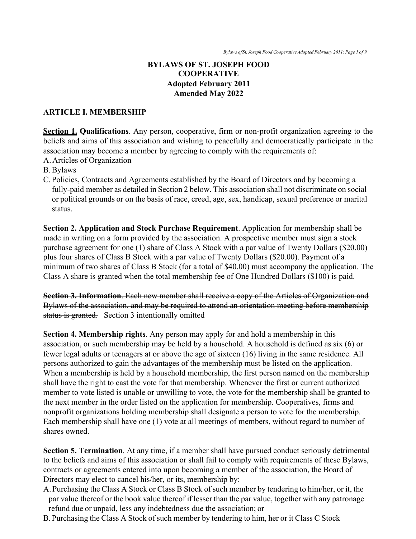#### **BYLAWS OF ST. JOSEPH FOOD COOPERATIVE Adopted February 2011 Amended May 2022**

#### **ARTICLE I. MEMBERSHIP**

**Section 1. Qualifications**. Any person, cooperative, firm or non-profit organization agreeing to the beliefs and aims of this association and wishing to peacefully and democratically participate in the association may become a member by agreeing to comply with the requirements of:

A.Articles of Organization

B.Bylaws

C. Policies, Contracts and Agreements established by the Board of Directors and by becoming a fully-paid member as detailed in Section 2 below. This association shall not discriminate on social or political grounds or on the basis of race, creed, age, sex, handicap, sexual preference or marital status.

**Section 2. Application and Stock Purchase Requirement**. Application for membership shall be made in writing on a form provided by the association. A prospective member must sign a stock purchase agreement for one (1) share of Class A Stock with a par value of Twenty Dollars (\$20.00) plus four shares of Class B Stock with a par value of Twenty Dollars (\$20.00). Payment of a minimum of two shares of Class B Stock (for a total of \$40.00) must accompany the application. The Class A share is granted when the total membership fee of One Hundred Dollars (\$100) is paid.

**Section 3. Information**. Each new member shall receive a copy of the Articles of Organization and Bylaws of the association. and may be required to attend an orientation meeting before membership status is granted. Section 3 intentionally omitted

**Section 4. Membership rights**. Any person may apply for and hold a membership in this association, or such membership may be held by a household. A household is defined as six (6) or fewer legal adults or teenagers at or above the age of sixteen (16) living in the same residence. All persons authorized to gain the advantages of the membership must be listed on the application. When a membership is held by a household membership, the first person named on the membership shall have the right to cast the vote for that membership. Whenever the first or current authorized member to vote listed is unable or unwilling to vote, the vote for the membership shall be granted to the next member in the order listed on the application for membership. Cooperatives, firms and nonprofit organizations holding membership shall designate a person to vote for the membership. Each membership shall have one (1) vote at all meetings of members, without regard to number of shares owned.

**Section 5. Termination**. At any time, if a member shall have pursued conduct seriously detrimental to the beliefs and aims of this association or shall fail to comply with requirements of these Bylaws, contracts or agreements entered into upon becoming a member of the association, the Board of Directors may elect to cancel his/her, or its, membership by:

- A.Purchasing the Class A Stock or Class B Stock of such member by tendering to him/her, or it, the par value thereof or the book value thereof if lesser than the par value, together with any patronage refund due or unpaid, less any indebtedness due the association; or
- B. Purchasing the Class A Stock of such member by tendering to him, her or it Class C Stock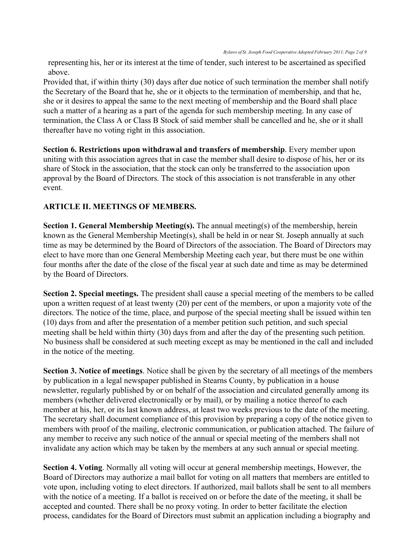representing his, her or its interest at the time of tender, such interest to be ascertained as specified above.

Provided that, if within thirty (30) days after due notice of such termination the member shall notify the Secretary of the Board that he, she or it objects to the termination of membership, and that he, she or it desires to appeal the same to the next meeting of membership and the Board shall place such a matter of a hearing as a part of the agenda for such membership meeting. In any case of termination, the Class A or Class B Stock of said member shall be cancelled and he, she or it shall thereafter have no voting right in this association.

**Section 6. Restrictions upon withdrawal and transfers of membership**. Every member upon uniting with this association agrees that in case the member shall desire to dispose of his, her or its share of Stock in the association, that the stock can only be transferred to the association upon approval by the Board of Directors. The stock of this association is not transferable in any other event.

### **ARTICLE II. MEETINGS OF MEMBERS.**

**Section 1. General Membership Meeting(s).** The annual meeting(s) of the membership, herein known as the General Membership Meeting(s), shall be held in or near St. Joseph annually at such time as may be determined by the Board of Directors of the association. The Board of Directors may elect to have more than one General Membership Meeting each year, but there must be one within four months after the date of the close of the fiscal year at such date and time as may be determined by the Board of Directors.

**Section 2. Special meetings.** The president shall cause a special meeting of the members to be called upon a written request of at least twenty (20) per cent of the members, or upon a majority vote of the directors. The notice of the time, place, and purpose of the special meeting shall be issued within ten (10) days from and after the presentation of a member petition such petition, and such special meeting shall be held within thirty (30) days from and after the day of the presenting such petition. No business shall be considered at such meeting except as may be mentioned in the call and included in the notice of the meeting.

**Section 3. Notice of meetings**. Notice shall be given by the secretary of all meetings of the members by publication in a legal newspaper published in Stearns County, by publication in a house newsletter, regularly published by or on behalf of the association and circulated generally among its members (whether delivered electronically or by mail), or by mailing a notice thereof to each member at his, her, or its last known address, at least two weeks previous to the date of the meeting. The secretary shall document compliance of this provision by preparing a copy of the notice given to members with proof of the mailing, electronic communication, or publication attached. The failure of any member to receive any such notice of the annual or special meeting of the members shall not invalidate any action which may be taken by the members at any such annual or special meeting.

**Section 4. Voting**. Normally all voting will occur at general membership meetings, However, the Board of Directors may authorize a mail ballot for voting on all matters that members are entitled to vote upon, including voting to elect directors. If authorized, mail ballots shall be sent to all members with the notice of a meeting. If a ballot is received on or before the date of the meeting, it shall be accepted and counted. There shall be no proxy voting. In order to better facilitate the election process, candidates for the Board of Directors must submit an application including a biography and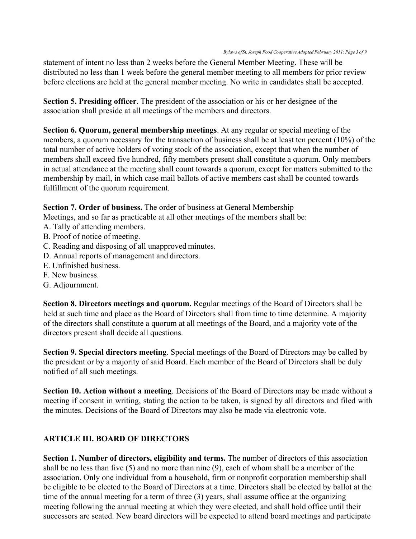statement of intent no less than 2 weeks before the General Member Meeting. These will be distributed no less than 1 week before the general member meeting to all members for prior review before elections are held at the general member meeting. No write in candidates shall be accepted.

**Section 5. Presiding officer**. The president of the association or his or her designee of the association shall preside at all meetings of the members and directors.

**Section 6. Quorum, general membership meetings**. At any regular or special meeting of the members, a quorum necessary for the transaction of business shall be at least ten percent (10%) of the total number of active holders of voting stock of the association, except that when the number of members shall exceed five hundred, fifty members present shall constitute a quorum. Only members in actual attendance at the meeting shall count towards a quorum, except for matters submitted to the membership by mail, in which case mail ballots of active members cast shall be counted towards fulfillment of the quorum requirement.

**Section 7. Order of business.** The order of business at General Membership

Meetings, and so far as practicable at all other meetings of the members shall be:

- A. Tally of attending members.
- B. Proof of notice of meeting.
- C. Reading and disposing of all unapproved minutes.
- D. Annual reports of management and directors.
- E. Unfinished business.
- F. New business.
- G. Adjournment.

**Section 8. Directors meetings and quorum.** Regular meetings of the Board of Directors shall be held at such time and place as the Board of Directors shall from time to time determine. A majority of the directors shall constitute a quorum at all meetings of the Board, and a majority vote of the directors present shall decide all questions.

**Section 9. Special directors meeting**. Special meetings of the Board of Directors may be called by the president or by a majority of said Board. Each member of the Board of Directors shall be duly notified of all such meetings.

**Section 10. Action without a meeting**. Decisions of the Board of Directors may be made without a meeting if consent in writing, stating the action to be taken, is signed by all directors and filed with the minutes. Decisions of the Board of Directors may also be made via electronic vote.

# **ARTICLE III. BOARD OF DIRECTORS**

**Section 1. Number of directors, eligibility and terms.** The number of directors of this association shall be no less than five (5) and no more than nine (9), each of whom shall be a member of the association. Only one individual from a household, firm or nonprofit corporation membership shall be eligible to be elected to the Board of Directors at a time. Directors shall be elected by ballot at the time of the annual meeting for a term of three (3) years, shall assume office at the organizing meeting following the annual meeting at which they were elected, and shall hold office until their successors are seated. New board directors will be expected to attend board meetings and participate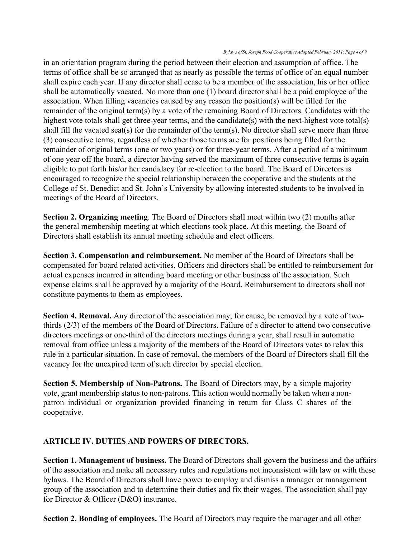*Bylaws of St. Joseph Food Cooperative Adopted February 2011; Page 4 of 9*

in an orientation program during the period between their election and assumption of office. The terms of office shall be so arranged that as nearly as possible the terms of office of an equal number shall expire each year. If any director shall cease to be a member of the association, his or her office shall be automatically vacated. No more than one (1) board director shall be a paid employee of the association. When filling vacancies caused by any reason the position(s) will be filled for the remainder of the original term(s) by a vote of the remaining Board of Directors. Candidates with the highest vote totals shall get three-year terms, and the candidate(s) with the next-highest vote total(s) shall fill the vacated seat(s) for the remainder of the term(s). No director shall serve more than three (3) consecutive terms, regardless of whether those terms are for positions being filled for the remainder of original terms (one or two years) or for three-year terms. After a period of a minimum of one year off the board, a director having served the maximum of three consecutive terms is again eligible to put forth his/or her candidacy for re-election to the board. The Board of Directors is encouraged to recognize the special relationship between the cooperative and the students at the College of St. Benedict and St. John's University by allowing interested students to be involved in meetings of the Board of Directors.

**Section 2. Organizing meeting**. The Board of Directors shall meet within two (2) months after the general membership meeting at which elections took place. At this meeting, the Board of Directors shall establish its annual meeting schedule and elect officers.

**Section 3. Compensation and reimbursement.** No member of the Board of Directors shall be compensated for board related activities. Officers and directors shall be entitled to reimbursement for actual expenses incurred in attending board meeting or other business of the association. Such expense claims shall be approved by a majority of the Board. Reimbursement to directors shall not constitute payments to them as employees.

**Section 4. Removal.** Any director of the association may, for cause, be removed by a vote of twothirds (2/3) of the members of the Board of Directors. Failure of a director to attend two consecutive directors meetings or one-third of the directors meetings during a year, shall result in automatic removal from office unless a majority of the members of the Board of Directors votes to relax this rule in a particular situation. In case of removal, the members of the Board of Directors shall fill the vacancy for the unexpired term of such director by special election.

**Section 5. Membership of Non-Patrons.** The Board of Directors may, by a simple majority vote, grant membership status to non-patrons. This action would normally be taken when a nonpatron individual or organization provided financing in return for Class C shares of the cooperative.

# **ARTICLE IV. DUTIES AND POWERS OF DIRECTORS.**

**Section 1. Management of business.** The Board of Directors shall govern the business and the affairs of the association and make all necessary rules and regulations not inconsistent with law or with these bylaws. The Board of Directors shall have power to employ and dismiss a manager or management group of the association and to determine their duties and fix their wages. The association shall pay for Director & Officer (D&O) insurance.

**Section 2. Bonding of employees.** The Board of Directors may require the manager and all other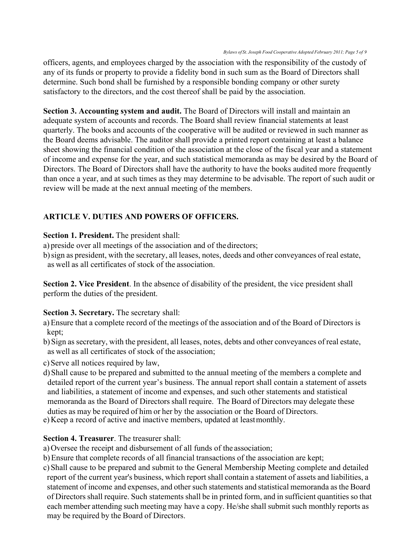officers, agents, and employees charged by the association with the responsibility of the custody of any of its funds or property to provide a fidelity bond in such sum as the Board of Directors shall determine. Such bond shall be furnished by a responsible bonding company or other surety satisfactory to the directors, and the cost thereof shall be paid by the association.

**Section 3. Accounting system and audit.** The Board of Directors will install and maintain an adequate system of accounts and records. The Board shall review financial statements at least quarterly. The books and accounts of the cooperative will be audited or reviewed in such manner as the Board deems advisable. The auditor shall provide a printed report containing at least a balance sheet showing the financial condition of the association at the close of the fiscal year and a statement of income and expense for the year, and such statistical memoranda as may be desired by the Board of Directors. The Board of Directors shall have the authority to have the books audited more frequently than once a year, and at such times as they may determine to be advisable. The report of such audit or review will be made at the next annual meeting of the members.

# **ARTICLE V. DUTIES AND POWERS OF OFFICERS.**

**Section 1. President.** The president shall:

- a) preside over all meetings of the association and of thedirectors;
- b)sign as president, with the secretary, all leases, notes, deeds and other conveyances of real estate, as well as all certificates of stock of the association.

**Section 2. Vice President**. In the absence of disability of the president, the vice president shall perform the duties of the president.

### **Section 3. Secretary.** The secretary shall:

- a)Ensure that a complete record of the meetings of the association and of the Board of Directors is kept;
- b) Sign as secretary, with the president, all leases, notes, debts and other conveyances of real estate, as well as all certificates of stock of the association;
- c) Serve all notices required by law,
- d) Shall cause to be prepared and submitted to the annual meeting of the members a complete and detailed report of the current year's business. The annual report shall contain a statement of assets and liabilities, a statement of income and expenses, and such other statements and statistical memoranda as the Board of Directors shall require. The Board of Directors may delegate these duties as may be required of him or her by the association or the Board of Directors.
- e) Keep a record of active and inactive members, updated at leastmonthly.

# **Section 4. Treasurer**. The treasurer shall:

- a)Oversee the receipt and disbursement of all funds of the association;
- b)Ensure that complete records of all financial transactions of the association are kept;

c) Shall cause to be prepared and submit to the General Membership Meeting complete and detailed report of the current year's business, which report shall contain a statement of assets and liabilities, a statement of income and expenses, and other such statements and statistical memoranda asthe Board of Directorsshall require. Such statements shall be in printed form, and in sufficient quantities so that each member attending such meeting may have a copy. He/she shall submit such monthly reports as may be required by the Board of Directors.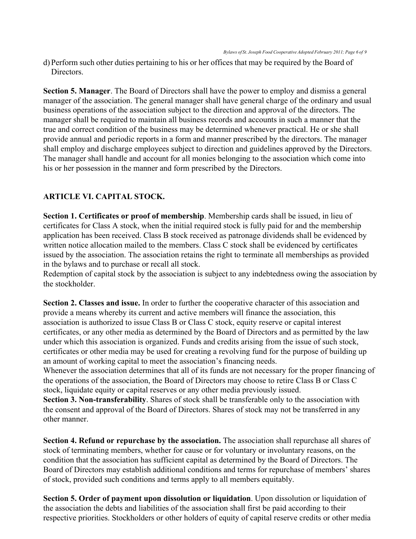d)Perform such other duties pertaining to his or her offices that may be required by the Board of Directors.

**Section 5. Manager**. The Board of Directors shall have the power to employ and dismiss a general manager of the association. The general manager shall have general charge of the ordinary and usual business operations of the association subject to the direction and approval of the directors. The manager shall be required to maintain all business records and accounts in such a manner that the true and correct condition of the business may be determined whenever practical. He or she shall provide annual and periodic reports in a form and manner prescribed by the directors. The manager shall employ and discharge employees subject to direction and guidelines approved by the Directors. The manager shall handle and account for all monies belonging to the association which come into his or her possession in the manner and form prescribed by the Directors.

### **ARTICLE VI. CAPITAL STOCK.**

**Section 1. Certificates or proof of membership**. Membership cards shall be issued, in lieu of certificates for Class A stock, when the initial required stock is fully paid for and the membership application has been received. Class B stock received as patronage dividends shall be evidenced by written notice allocation mailed to the members. Class C stock shall be evidenced by certificates issued by the association. The association retains the right to terminate all memberships as provided in the bylaws and to purchase or recall all stock.

Redemption of capital stock by the association is subject to any indebtedness owing the association by the stockholder.

**Section 2. Classes and issue.** In order to further the cooperative character of this association and provide a means whereby its current and active members will finance the association, this association is authorized to issue Class B or Class C stock, equity reserve or capital interest certificates, or any other media as determined by the Board of Directors and as permitted by the law under which this association is organized. Funds and credits arising from the issue of such stock, certificates or other media may be used for creating a revolving fund for the purpose of building up an amount of working capital to meet the association's financing needs.

Whenever the association determines that all of its funds are not necessary for the proper financing of the operations of the association, the Board of Directors may choose to retire Class B or Class C stock, liquidate equity or capital reserves or any other media previously issued.

**Section 3. Non-transferability**. Shares of stock shall be transferable only to the association with the consent and approval of the Board of Directors. Shares of stock may not be transferred in any other manner.

**Section 4. Refund or repurchase by the association.** The association shall repurchase all shares of stock of terminating members, whether for cause or for voluntary or involuntary reasons, on the condition that the association has sufficient capital as determined by the Board of Directors. The Board of Directors may establish additional conditions and terms for repurchase of members' shares of stock, provided such conditions and terms apply to all members equitably.

**Section 5. Order of payment upon dissolution or liquidation**. Upon dissolution or liquidation of the association the debts and liabilities of the association shall first be paid according to their respective priorities. Stockholders or other holders of equity of capital reserve credits or other media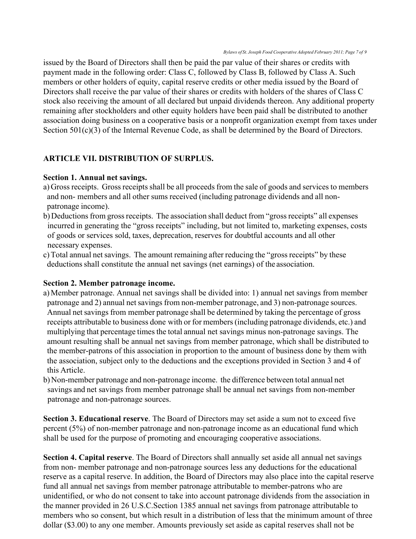issued by the Board of Directors shall then be paid the par value of their shares or credits with payment made in the following order: Class C, followed by Class B, followed by Class A. Such members or other holders of equity, capital reserve credits or other media issued by the Board of Directors shall receive the par value of their shares or credits with holders of the shares of Class C stock also receiving the amount of all declared but unpaid dividends thereon. Any additional property remaining after stockholders and other equity holders have been paid shall be distributed to another association doing business on a cooperative basis or a nonprofit organization exempt from taxes under Section 501(c)(3) of the Internal Revenue Code, as shall be determined by the Board of Directors.

### **ARTICLE VII. DISTRIBUTION OF SURPLUS.**

#### **Section 1. Annual net savings.**

- a)Gross receipts. Gross receipts shall be all proceeds from the sale of goods and services to members and non- members and all other sums received (including patronage dividends and all nonpatronage income).
- b) Deductions from gross receipts. The association shall deduct from "gross receipts" all expenses incurred in generating the "gross receipts" including, but not limited to, marketing expenses, costs of goods or services sold, taxes, deprecation, reserves for doubtful accounts and all other necessary expenses.
- c) Total annual net savings. The amount remaining after reducing the "gross receipts" by these deductions shall constitute the annual net savings (net earnings) of the association.

#### **Section 2. Member patronage income.**

- a) Member patronage. Annual net savings shall be divided into: 1) annual net savings from member patronage and 2) annual net savings from non-member patronage, and 3) non-patronage sources. Annual net savings from member patronage shall be determined by taking the percentage of gross receipts attributable to business done with or for members (including patronage dividends, etc.) and multiplying that percentage times the total annual net savings minus non-patronage savings. The amount resulting shall be annual net savings from member patronage, which shall be distributed to the member-patrons of this association in proportion to the amount of business done by them with the association, subject only to the deductions and the exceptions provided in Section 3 and 4 of this Article.
- b)Non-member patronage and non-patronage income. the difference between total annual net savings and net savings from member patronage shall be annual net savings from non-member patronage and non-patronage sources.

**Section 3. Educational reserve**. The Board of Directors may set aside a sum not to exceed five percent (5%) of non-member patronage and non-patronage income as an educational fund which shall be used for the purpose of promoting and encouraging cooperative associations.

**Section 4. Capital reserve**. The Board of Directors shall annually set aside all annual net savings from non- member patronage and non-patronage sources less any deductions for the educational reserve as a capital reserve. In addition, the Board of Directors may also place into the capital reserve fund all annual net savings from member patronage attributable to member-patrons who are unidentified, or who do not consent to take into account patronage dividends from the association in the manner provided in 26 U.S.C.Section 1385 annual net savings from patronage attributable to members who so consent, but which result in a distribution of less that the minimum amount of three dollar (\$3.00) to any one member. Amounts previously set aside as capital reserves shall not be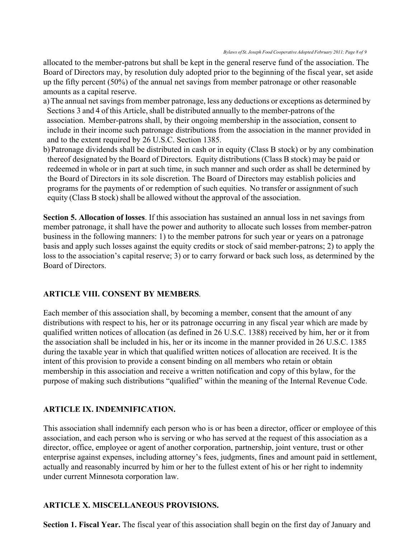allocated to the member-patrons but shall be kept in the general reserve fund of the association. The Board of Directors may, by resolution duly adopted prior to the beginning of the fiscal year, set aside up the fifty percent (50%) of the annual net savings from member patronage or other reasonable amounts as a capital reserve.

- a) The annual net savings from member patronage, less any deductions or exceptions as determined by Sections 3 and 4 of this Article, shall be distributed annually to the member-patrons of the association. Member-patrons shall, by their ongoing membership in the association, consent to include in their income such patronage distributions from the association in the manner provided in and to the extent required by 26 U.S.C. Section 1385.
- b) Patronage dividends shall be distributed in cash or in equity (Class B stock) or by any combination thereof designated by the Board of Directors. Equity distributions (Class B stock) may be paid or redeemed in whole or in part at such time, in such manner and such order as shall be determined by the Board of Directors in its sole discretion. The Board of Directors may establish policies and programs for the payments of or redemption of such equities. No transfer or assignment of such equity (Class B stock) shall be allowed without the approval of the association.

**Section 5. Allocation of losses**. If this association has sustained an annual loss in net savings from member patronage, it shall have the power and authority to allocate such losses from member-patron business in the following manners: 1) to the member patrons for such year or years on a patronage basis and apply such losses against the equity credits or stock of said member-patrons; 2) to apply the loss to the association's capital reserve; 3) or to carry forward or back such loss, as determined by the Board of Directors.

### **ARTICLE VIII. CONSENT BY MEMBERS**.

Each member of this association shall, by becoming a member, consent that the amount of any distributions with respect to his, her or its patronage occurring in any fiscal year which are made by qualified written notices of allocation (as defined in 26 U.S.C. 1388) received by him, her or it from the association shall be included in his, her or its income in the manner provided in 26 U.S.C. 1385 during the taxable year in which that qualified written notices of allocation are received. It is the intent of this provision to provide a consent binding on all members who retain or obtain membership in this association and receive a written notification and copy of this bylaw, for the purpose of making such distributions "qualified" within the meaning of the Internal Revenue Code.

#### **ARTICLE IX. INDEMNIFICATION.**

This association shall indemnify each person who is or has been a director, officer or employee of this association, and each person who is serving or who has served at the request of this association as a director, office, employee or agent of another corporation, partnership, joint venture, trust or other enterprise against expenses, including attorney's fees, judgments, fines and amount paid in settlement, actually and reasonably incurred by him or her to the fullest extent of his or her right to indemnity under current Minnesota corporation law.

#### **ARTICLE X. MISCELLANEOUS PROVISIONS.**

**Section 1. Fiscal Year.** The fiscal year of this association shall begin on the first day of January and